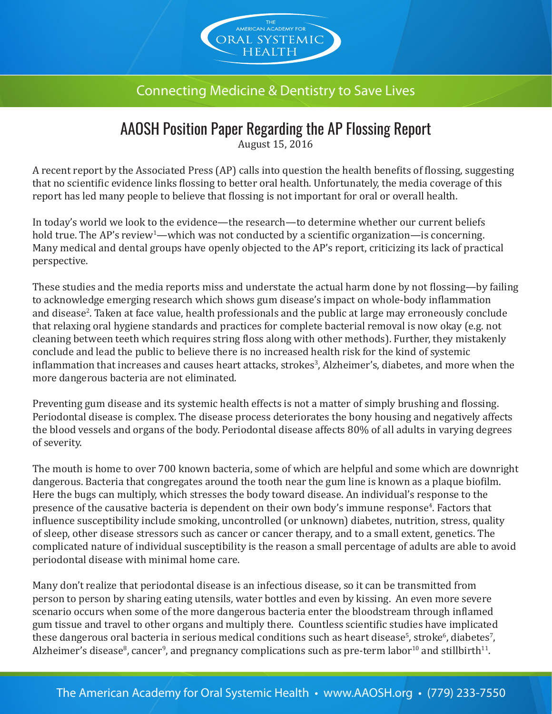

## Connecting Medicine & Dentistry to Save Lives

## AAOSH Position Paper Regarding the AP Flossing Report

August 15, 2016

A recent report by the Associated Press (AP) calls into question the health benefits of flossing, suggesting that no scientific evidence links flossing to better oral health. Unfortunately, the media coverage of this report has led many people to believe that flossing is not important for oral or overall health.

In today's world we look to the evidence—the research—to determine whether our current beliefs hold true. The AP's review<sup>1</sup>—which was not conducted by a scientific organization—is concerning. Many medical and dental groups have openly objected to the AP's report, criticizing its lack of practical perspective.

These studies and the media reports miss and understate the actual harm done by not flossing—by failing to acknowledge emerging research which shows gum disease's impact on whole-body inflammation and disease2 . Taken at face value, health professionals and the public at large may erroneously conclude that relaxing oral hygiene standards and practices for complete bacterial removal is now okay (e.g. not cleaning between teeth which requires string floss along with other methods). Further, they mistakenly conclude and lead the public to believe there is no increased health risk for the kind of systemic inflammation that increases and causes heart attacks, strokes<sup>3</sup>, Alzheimer's, diabetes, and more when the more dangerous bacteria are not eliminated.

Preventing gum disease and its systemic health effects is not a matter of simply brushing and flossing. Periodontal disease is complex. The disease process deteriorates the bony housing and negatively affects the blood vessels and organs of the body. Periodontal disease affects 80% of all adults in varying degrees of severity.

The mouth is home to over 700 known bacteria, some of which are helpful and some which are downright dangerous. Bacteria that congregates around the tooth near the gum line is known as a plaque biofilm. Here the bugs can multiply, which stresses the body toward disease. An individual's response to the presence of the causative bacteria is dependent on their own body's immune response<sup>4</sup>. Factors that influence susceptibility include smoking, uncontrolled (or unknown) diabetes, nutrition, stress, quality of sleep, other disease stressors such as cancer or cancer therapy, and to a small extent, genetics. The complicated nature of individual susceptibility is the reason a small percentage of adults are able to avoid periodontal disease with minimal home care.

Many don't realize that periodontal disease is an infectious disease, so it can be transmitted from person to person by sharing eating utensils, water bottles and even by kissing. An even more severe scenario occurs when some of the more dangerous bacteria enter the bloodstream through inflamed gum tissue and travel to other organs and multiply there. Countless scientific studies have implicated these dangerous oral bacteria in serious medical conditions such as heart disease<sup>s</sup>, stroke $^6$ , diabetes $^7$ , Alzheimer's disease $^8$ , cancer $^9$ , and pregnancy complications such as pre-term labor $^{10}$  and stillbirth $^{11}$ .